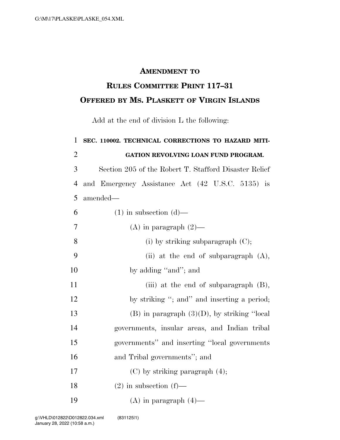## **AMENDMENT TO**

## **RULES COMMITTEE PRINT 117–31 OFFERED BY MS. PLASKETT OF VIRGIN ISLANDS**

Add at the end of division L the following:

| $\mathbf{1}$   | SEC. 110002. TECHNICAL CORRECTIONS TO HAZARD MITI-    |
|----------------|-------------------------------------------------------|
| $\overline{2}$ | GATION REVOLVING LOAN FUND PROGRAM.                   |
| 3              | Section 205 of the Robert T. Stafford Disaster Relief |
| $\overline{4}$ | and Emergency Assistance Act (42 U.S.C. 5135) is      |
| 5              | amended—                                              |
| 6              | $(1)$ in subsection $(d)$ —                           |
| 7              | (A) in paragraph $(2)$ —                              |
| 8              | (i) by striking subparagraph $(C)$ ;                  |
| 9              | (ii) at the end of subparagraph $(A)$ ,               |
| 10             | by adding "and"; and                                  |
| 11             | (iii) at the end of subparagraph $(B)$ ,              |
| 12             | by striking "; and" and inserting a period;           |
| 13             | $(B)$ in paragraph $(3)(D)$ , by striking "local      |
| 14             | governments, insular areas, and Indian tribal         |
| 15             | governments" and inserting "local governments"        |
| 16             | and Tribal governments"; and                          |
| 17             | $(C)$ by striking paragraph $(4)$ ;                   |
| 18             | $(2)$ in subsection $(f)$ —                           |
| 19             | (A) in paragraph $(4)$ —                              |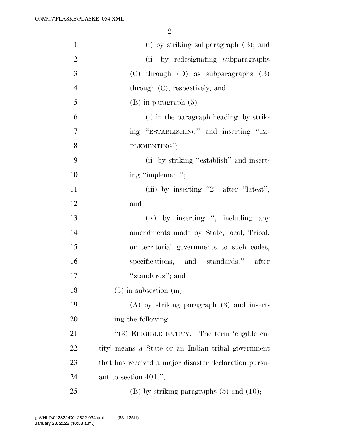2

| $\mathbf{1}$   | (i) by striking subparagraph (B); and                 |
|----------------|-------------------------------------------------------|
| $\overline{2}$ | (ii) by redesignating subparagraphs                   |
| 3              | $(C)$ through $(D)$ as subparagraphs $(B)$            |
| $\overline{4}$ | through $(C)$ , respectively; and                     |
| 5              | $(B)$ in paragraph $(5)$ —                            |
| 6              | (i) in the paragraph heading, by strik-               |
| 7              | ing "ESTABLISHING" and inserting "IM-                 |
| 8              | PLEMENTING";                                          |
| 9              | (ii) by striking "establish" and insert-              |
| 10             | ing "implement";                                      |
| 11             | (iii) by inserting "2" after "latest";                |
| 12             | and                                                   |
| 13             | (iv) by inserting ", including any                    |
| 14             | amendments made by State, local, Tribal,              |
| 15             | or territorial governments to such codes,             |
| 16             | specifications, and standards," after                 |
| 17             | "standards"; and                                      |
| 18             | $(3)$ in subsection $(m)$ —                           |
| 19             | $(A)$ by striking paragraph $(3)$ and insert-         |
| 20             | ing the following:                                    |
| 21             | "(3) ELIGIBLE ENTITY.—The term 'eligible en-          |
| 22             | tity' means a State or an Indian tribal government    |
| 23             | that has received a major disaster declaration pursu- |
| 24             | ant to section $401."$ ;                              |
| 25             | $(B)$ by striking paragraphs $(5)$ and $(10)$ ;       |